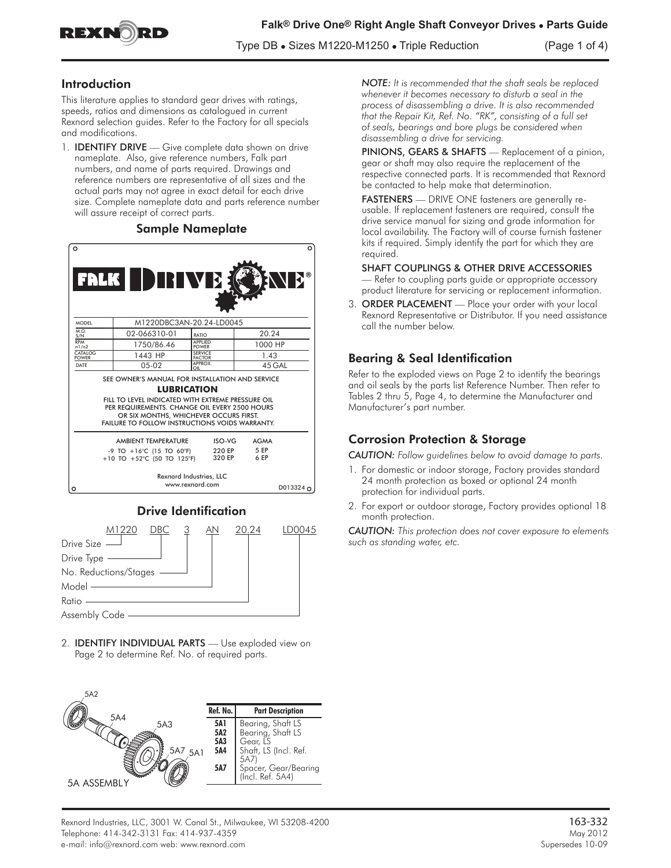

Type DB **•** Sizes M1220-M1250 **•** Triple Reduction (Page 1 of 4)

## Introduction

This literature applies to standard gear drives with ratings, speeds, ratios and dimensions as catalogued in current Rexnord selection guides. Refer to the Factory for all specials and modifications.

1. **IDENTIFY DRIVE** — Give complete data shown on drive nameplate. Also, give reference numbers, Falk part numbers, and name of parts required. Drawings and reference numbers are representative of all sizes and the actual parts may not agree in exact detail for each drive size. Complete nameplate data and parts reference number will assure receipt of correct parts.

#### Sample Nameplate





2. IDENTIFY INDIVIDUAL PARTS — Use exploded view on Page 2 to determine Ref. No. of required parts.



*NOTE: It is recommended that the shaft seals be replaced whenever it becomes necessary to disturb a seal in the process of disassembling a drive. It is also recommended that the Repair Kit, Ref. No. "RK", consisting of a full set of seals, bearings and bore plugs be considered when disassembling a drive for servicing.*

PINIONS, GEARS & SHAFTS — Replacement of a pinion, gear or shaft may also require the replacement of the respective connected parts. It is recommended that Rexnord be contacted to help make that determination.

FASTENERS — DRIVE ONE fasteners are generally reusable. If replacement fasteners are required, consult the drive service manual for sizing and grade information for local availability. The Factory will of course furnish fastener kits if required. Simply identify the part for which they are required.

#### SHAFT COUPLINGS & OTHER DRIVE ACCESSORIES

— Refer to coupling parts guide or appropriate accessory product literature for servicing or replacement information.

3. ORDER PLACEMENT — Place your order with your local Rexnord Representative or Distributor. If you need assistance call the number below.

# Bearing & Seal Identification

Refer to the exploded views on Page 2 to identify the bearings and oil seals by the parts list Reference Number. Then refer to Tables 2 thru 5, Page 4, to determine the Manufacturer and Manufacturer's part number.

# Corrosion Protection & Storage

*CAUTION: Follow guidelines below to avoid damage to parts.*

- 1. For domestic or indoor storage, Factory provides standard 24 month protection as boxed or optional 24 month protection for individual parts.
- 2. For export or outdoor storage, Factory provides optional 18 month protection.

*CAUTION: This protection does not cover exposure to elements such as standing water, etc.*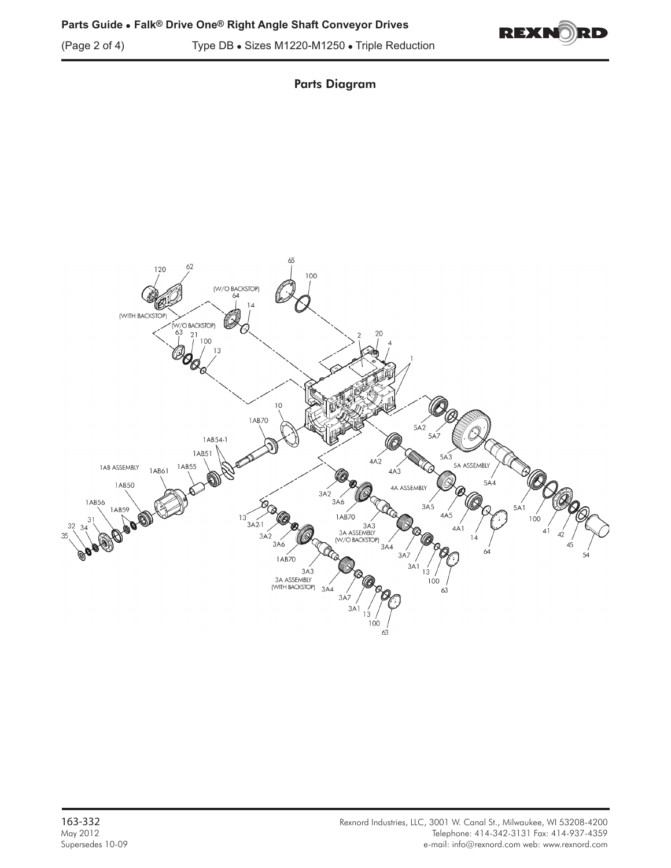



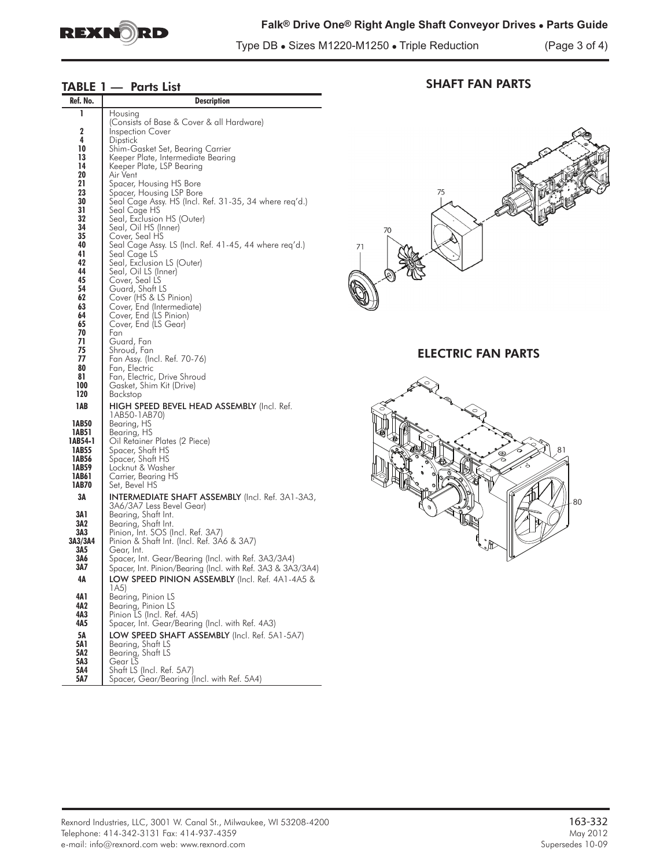

# **Falk® Drive One® Right Angle Shaft Conveyor Drives • Parts Guide**

Type DB **•** Sizes M1220-M1250 **•** Triple Reduction (Page 3 of 4)

# TABLE 1 - Parts List

| Ref. No.       | Description                                                                                                        |    |
|----------------|--------------------------------------------------------------------------------------------------------------------|----|
| ı              | Housing                                                                                                            |    |
| 2              | (Consists of Base & Cover & all Hardware)<br><b>Inspection Cover</b>                                               |    |
| 4              | Dipstick                                                                                                           |    |
| 10<br>13       | Shim-Gasket Set, Bearing Carrier                                                                                   |    |
| 14             | Keeper Plate, Intermediate Bearing<br>Keeper Plate, LSP Bearing                                                    |    |
| 20             | Air Vent                                                                                                           |    |
| 21<br>23       | Spacer, Housing HS Bore<br>Spacer, Housing LSP Bore                                                                |    |
| 30             | Seal Cage Assy. HS (Incl. Ref. 31-35, 34 where req'd.)                                                             |    |
| 31             | Seal Cage HS                                                                                                       |    |
| 32<br>34       | Seal, Exclusion HS (Outer)<br>Seal, Oil HS (Inner)                                                                 |    |
| 35             | Cover, Seal HS                                                                                                     |    |
| 40             | Seal Cage Assy. LS (Incl. Ret. 41-45, 44 where req'd.)                                                             | 71 |
| 41<br>42       | Seal Cage LS<br>Seal, Exclusion LS (Outer)                                                                         |    |
| 44             | Seal, Oil LS (Inner)                                                                                               |    |
| 45<br>54       | Cover, Seal LS                                                                                                     |    |
| 62             | Guard, Shatt LS<br>Cover (HS & LS Pinion)                                                                          |    |
| 63             | Cover, End (Intermediate)                                                                                          |    |
| 64<br>65       | Cover, End (LS Pinion)<br>Cover, End (LS Gear)                                                                     |    |
| 70             | Fan                                                                                                                |    |
| 71<br>75       | Guard, Fan                                                                                                         |    |
| 77             | Shroud, Fan<br>Fan Assy. (Incl. Ref. 70-76)                                                                        |    |
| 80             | Fan, Electric                                                                                                      |    |
| 81<br>100      | Fan, Electric, Drive Shroud<br>Gasket, Shim Kit (Drive)                                                            |    |
| 120            | Backstop                                                                                                           |    |
| 1AB            | <b>HIGH SPEED BEVEL HEAD ASSEMBLY (Incl. Ref.</b>                                                                  |    |
| 1AB50          | 1AB50-1AB70)                                                                                                       |    |
| 1AB51          | Bearing, HS<br>Bearing, HS                                                                                         |    |
| 1AB54-1        | Oil Retainer Plates (2 Piece)                                                                                      |    |
| 1AB55<br>1AB56 | Spacer, Shaft HS<br>Spacer, Shaft HS                                                                               |    |
| 1AB59          | Locknut & Washer                                                                                                   |    |
| 1AB61          | Carrier, Bearing HS                                                                                                |    |
| 1AB70<br>ЗΑ    | Set, Bevel HS<br><b>INTERMEDIATE SHAFT ASSEMBLY</b> (Incl. Ref. 3A1-3A3,                                           |    |
|                | 3A6/3A7 Less Bevel Gear)                                                                                           |    |
| 3A 1           | Bearing, Shaft Int.                                                                                                |    |
| 3A2<br>3A3     | Bearing, Shaft Int.<br>Pinion, Int. SOS (Incl. Ref. 3A7)                                                           |    |
| 3A3/3A4        | Pinion & Shatt Int. (Incl. Ref. 3A6 & 3A7)                                                                         |    |
| 3A5            | Gear, Int.                                                                                                         |    |
| 3A6<br>3A7     | Spacer, Int. Gear/Bearing (Incl. with Ret. 3A3/3A4)<br>Spacer, Int. Pinion/Bearing (Incl. with Ref. 3A3 & 3A3/3A4) |    |
| 4Α             | LOW SPEED PINION ASSEMBLY (Incl. Ref. 4A1-4A5 &                                                                    |    |
|                | 1A5)                                                                                                               |    |
| 4A1<br>4A2     | Bearing, Pinion LS<br>Bearing, Pinion LS                                                                           |    |
| 4А3            | Pinion LS (Incl. Ref. 4A5)                                                                                         |    |
| 4A5            | Spacer, Int. Gear/Bearing (Incl. with Ref. 4A3)                                                                    |    |
| 5Α             | LOW SPEED SHAFT ASSEMBLY (Incl. Ref. 5A1-5A7)                                                                      |    |
| 5A 1<br>5A2    | Bearing, Shaft LS<br>Bearing, Shaft LS                                                                             |    |
| 5A3            | Gear LS                                                                                                            |    |
| 5A4<br>5A7     | Shaft LS (Incl. Ref. 5A7)<br>Spacer, Gear/Bearing (Incl. with Ref. 5A4)                                            |    |
|                |                                                                                                                    |    |



SHAFT FAN PARTS

ELECTRIC FAN PARTS